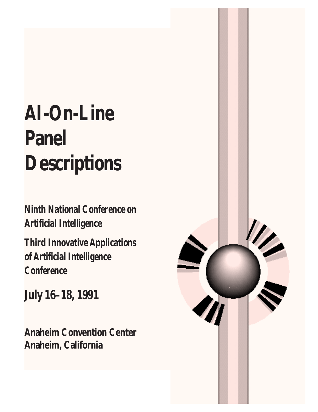# **AI-On-Line Panel Descriptions**

**Ninth National Conference on Artificial Intelligence** 

**Third Innovative Applications** of Artificial Intelligence **Conference** 

**July 16-18, 1991** 

**Anaheim Convention Center** Anaheim, California

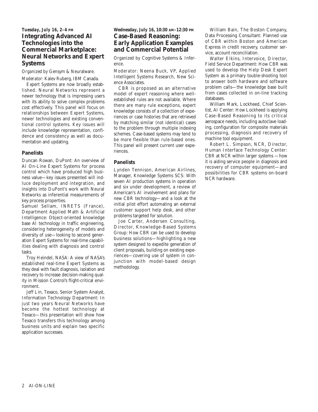## *Tuesday, July 16, 2–4 PM* **Integrating Advanced AI Technologies into the Commercial Marketplace: Neural Networks and Expert Systems**

*Organized by* Gensym & Neuralware. *Moderator:* Kalev Ruberg, IBM Canada.

Expert Systems are now broadly established. Neural Networks represent a newer technology that is impressing users with its ability to solve complex problems cost effectively. This panel will focus on relationships between Expert Systems, newer technologies and existing conventional control systems. Key issues will include knowledge representation, confidence and consistency as well as documentation and updating.

### **Panelists**

Duncan Rowan, DuPont: An overview of AI On-Line Expert Systems for process control which have produced high business value—key issues presented will indluce deployment and integration, and insights into DuPont's work with Neural Networks as inferential measurements of key process properties.

Samuel Sellam, INRETS (France), Department Applied Math & Artificial Intelligence: Object-oriented knowledge base AI technology in traffic engineering, considering heterogeneity of models and diversity of use—looking to second generation Expert Systems for real-time capabilities dealing with diagnosis and control tasks.

Troy Heindel, NASA: A view of NASA's established real-time Expert Systems as they deal with fault diagnosis, isolation and recovery to increase decision-making quality in Mission Control's flight-critical environment.

Jeff Lin, Texaco, Senior System Analyst, Information Technology Department: In just two years Neural Networks have become the hottest technology at Texaco—this presentation will show how Texaco transfers this technology among business units and explain two specific application successes.

## *Wednesday, July 16, 10:30 AM–12:30 PM* **Case-Based Reasoning: Early Application Examples and Commercial Potential**

*Organized by* Cognitive Systems & Inference.

*Moderator:* Neena Buck, VP, Applied Intelligent Systems Research, New Science Associates.

CBR is proposed as an alternative model of expert reasoning where wellestablished rules are not available. Where there are many rule exceptions, expert knowledge consists of a collection of experiences or case histories that are retrieved by matching similar (not identical) cases to the problem through multiple indexing schemes. Case-based systems may tend to be more flexible than rule-based ones. This panel will present current user experiences.

## **Panelists**

Lynden Tennison, American Airlines, Manager, Knowledge Systems SCS: With seven AI production systems in operation and six under development, a review of American's AI involvement and plans for new CBR technology—and a look at the initial pilot effort automating an external customer support help desk, and other problems targeted for solution.

Joe Carter, Andersen Consulting, Director, Knowledge-Based Systems Group: How CBR can be used to develop business solutions—highlighting a new system designed to expedite generation of client proposals, building on existing experiences—covering use of system in conjunction with model-based design methodology.

William Bain, The Boston Company, Data Processing Consultant: Planned use of CBR within Boston and American Express in credit recovery, customer service, account reconciliation.

Walter Elkins, Intervoice, Director, Field Service Department: How CBR was used to develop the Help Desk Expert System as a primary touble-shooting tool to answer both hardware and software problem calls—the knowledge base built from cases collected in on-line tracking databases.

William Mark, Lockheed, Chief Scientist, AI Center: How Lockheed is applying Case-Based Reasoning to its critical aerospace needs, including autoclave loading, configuration for composite materials processing, diagnosis and recovery of machine tool equipment.

Robert L. Simpson, NCR, Director, Human Interface Technology Center: CBR at NCR within larger systems —how it is aiding service people in diagnosis and recovery of computer equipment—and possibilities for CBR systems on-board NCR hardware.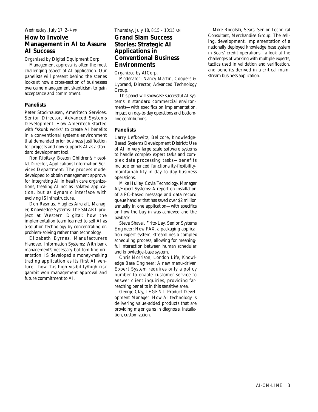#### *Wednesday, July 17, 2–4 PM*

## **How to Involve Management in AI to Assure AI Success**

*Organized by* Digital Equipment Corp.

Management approval is often the most challenging aspect of AI application. Our panelists will present behind the scenes looks at how a cross-section of businesses overcame management skepticism to gain acceptance and commitment.

#### **Panelists**

Peter Stockhausen, Ameritech Services, Senior Director, Advanced Systems Development: How Ameritech started with "skunk works" to create AI benefits in a conventional systems environment that demanded prior business justification for projects and now supports AI as a standard development tool.

Ron Ribitsky, Boston Children's Hospital,Director, Applications Information Services Department: The process model developed to obtain management approval for integrating AI in health care organizations, treating AI not as isolated application, but as dynamic interface with evolving IS infrastructure.

Don Rasmus, Hughes Aircraft, Manager, Knowledge Systems: The SMART project at Western Digital: how the implementation team learned to sell AI as a solution technology by concentrating on problem-solving rather than technology.

Elizabeth Byrnes, Manufacturers Hanover, Information Systems: With bank management's necessary bot-tom-line orientation, IS developed a money-making trading application as its first AI venture—how this high visibility/high risk gambit won management approval and future commitment to AI.

*Thursday, July 18, 8:15 – 10:15 AM*

## **Grand Slam Success Stories: Strategic AI Applications in Conventional Business Environments**

*Organized by* AICorp.

*Moderator:* Nancy Martin, Coopers & Lybrand, Director, Advanced Technology Group.

This panel will showcase successful AI systems in standard commercial environments—with specifics on implementation, impact on day-to-day operations and bottomline contributions.

#### **Panelists**

Larry Lefkowitz, Bellcore, Knowledge-Based Systems Development District: Use of AI in very large scale software systems to handle complex expert tasks and complex data processing tasks—benefits include enhanced functionality-flexibilitymaintainability in day-to-day business operations.

Mike Hulley, Covia Technology, Manager AI/Expert Systems: A report on installation of a PC-based message and data record queue handler that has saved over \$2 million annually in one application—with specifics on how the buy-in was achieved and the payback.

Steve Shavel, Frito-Lay, Senior Systems Engineer: How PAX, a packaging application expert system, streamlines a complex scheduling process, allowing for meaningful interaction between human scheduler and knowledge-base system.

Chris Morrison, London Life, Knowledge Base Engineer: A new menu-driven Expert System requires only a policy number to enable customer service to answer client inquiries, providing farreaching benefits in this sensitive area.

George Clay, LEGENT, Product Development Manager: How AI technology is delivering value-added products that are providing major gains in diagnosis, installation, customization.

Mike Rogolski, Sears, Senior Technical Consultant, Merchandise Group: The selling, development, implementation of a nationally deployed knowledge base system in Sears' credit operations—a look at the challenges of working with multiple experts, tactics used in validation and verification, and benefits derived in a critical mainstream business application.